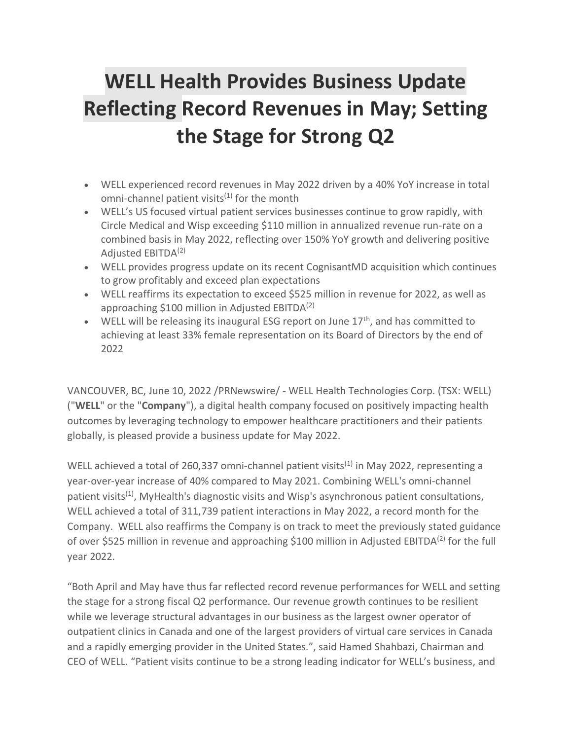# **WELL Health Provides Business Update Reflecting Record Revenues in May; Setting the Stage for Strong Q2**

- WELL experienced record revenues in May 2022 driven by a 40% YoY increase in total omni-channel patient visits<sup>(1)</sup> for the month
- WELL's US focused virtual patient services businesses continue to grow rapidly, with Circle Medical and Wisp exceeding \$110 million in annualized revenue run-rate on a combined basis in May 2022, reflecting over 150% YoY growth and delivering positive Adjusted EBITDA<sup>(2)</sup>
- WELL provides progress update on its recent CognisantMD acquisition which continues to grow profitably and exceed plan expectations
- WELL reaffirms its expectation to exceed \$525 million in revenue for 2022, as well as approaching \$100 million in Adjusted EBITDA(2)
- WELL will be releasing its inaugural ESG report on June  $17<sup>th</sup>$ , and has committed to achieving at least 33% female representation on its Board of Directors by the end of 2022

VANCOUVER, BC, June 10, 2022 /PRNewswire/ - WELL Health Technologies Corp. (TSX: WELL) ("**WELL**" or the "**Company**"), a digital health company focused on positively impacting health outcomes by leveraging technology to empower healthcare practitioners and their patients globally, is pleased provide a business update for May 2022.

WELL achieved a total of 260,337 omni-channel patient visits<sup>(1)</sup> in May 2022, representing a year-over-year increase of 40% compared to May 2021. Combining WELL's omni-channel patient visits<sup>(1)</sup>, MyHealth's diagnostic visits and Wisp's asynchronous patient consultations, WELL achieved a total of 311,739 patient interactions in May 2022, a record month for the Company. WELL also reaffirms the Company is on track to meet the previously stated guidance of over \$525 million in revenue and approaching \$100 million in Adjusted EBITDA<sup>(2)</sup> for the full year 2022.

"Both April and May have thus far reflected record revenue performances for WELL and setting the stage for a strong fiscal Q2 performance. Our revenue growth continues to be resilient while we leverage structural advantages in our business as the largest owner operator of outpatient clinics in Canada and one of the largest providers of virtual care services in Canada and a rapidly emerging provider in the United States.", said Hamed Shahbazi, Chairman and CEO of WELL. "Patient visits continue to be a strong leading indicator for WELL's business, and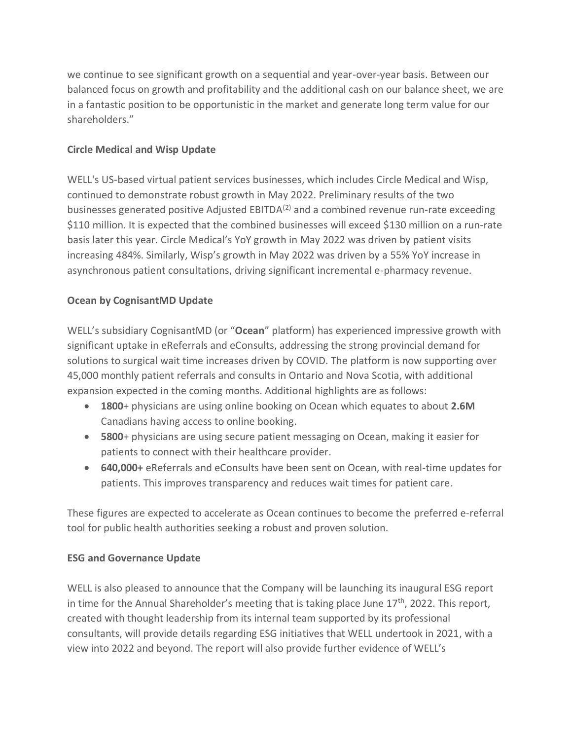we continue to see significant growth on a sequential and year-over-year basis. Between our balanced focus on growth and profitability and the additional cash on our balance sheet, we are in a fantastic position to be opportunistic in the market and generate long term value for our shareholders."

# **Circle Medical and Wisp Update**

WELL's US-based virtual patient services businesses, which includes Circle Medical and Wisp, continued to demonstrate robust growth in May 2022. Preliminary results of the two businesses generated positive Adjusted EBITDA $^{(2)}$  and a combined revenue run-rate exceeding \$110 million. It is expected that the combined businesses will exceed \$130 million on a run-rate basis later this year. Circle Medical's YoY growth in May 2022 was driven by patient visits increasing 484%. Similarly, Wisp's growth in May 2022 was driven by a 55% YoY increase in asynchronous patient consultations, driving significant incremental e-pharmacy revenue.

# **Ocean by CognisantMD Update**

WELL's subsidiary CognisantMD (or "**Ocean**" platform) has experienced impressive growth with significant uptake in eReferrals and eConsults, addressing the strong provincial demand for solutions to surgical wait time increases driven by COVID. The platform is now supporting over 45,000 monthly patient referrals and consults in Ontario and Nova Scotia, with additional expansion expected in the coming months. Additional highlights are as follows:

- **1800**+ physicians are using online booking on Ocean which equates to about **2.6M** Canadians having access to online booking.
- **5800**+ physicians are using secure patient messaging on Ocean, making it easier for patients to connect with their healthcare provider.
- **640,000+** eReferrals and eConsults have been sent on Ocean, with real-time updates for patients. This improves transparency and reduces wait times for patient care.

These figures are expected to accelerate as Ocean continues to become the preferred e-referral tool for public health authorities seeking a robust and proven solution.

## **ESG and Governance Update**

WELL is also pleased to announce that the Company will be launching its inaugural ESG report in time for the Annual Shareholder's meeting that is taking place June  $17<sup>th</sup>$ , 2022. This report, created with thought leadership from its internal team supported by its professional consultants, will provide details regarding ESG initiatives that WELL undertook in 2021, with a view into 2022 and beyond. The report will also provide further evidence of WELL's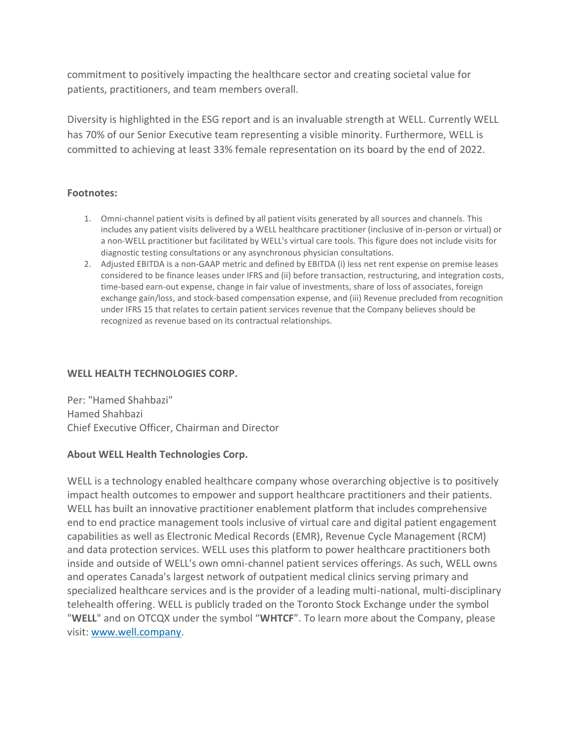commitment to positively impacting the healthcare sector and creating societal value for patients, practitioners, and team members overall.

Diversity is highlighted in the ESG report and is an invaluable strength at WELL. Currently WELL has 70% of our Senior Executive team representing a visible minority. Furthermore, WELL is committed to achieving at least 33% female representation on its board by the end of 2022.

#### **Footnotes:**

- 1. Omni-channel patient visits is defined by all patient visits generated by all sources and channels. This includes any patient visits delivered by a WELL healthcare practitioner (inclusive of in-person or virtual) or a non-WELL practitioner but facilitated by WELL's virtual care tools. This figure does not include visits for diagnostic testing consultations or any asynchronous physician consultations.
- 2. Adjusted EBITDA is a non-GAAP metric and defined by EBITDA (i) less net rent expense on premise leases considered to be finance leases under IFRS and (ii) before transaction, restructuring, and integration costs, time-based earn-out expense, change in fair value of investments, share of loss of associates, foreign exchange gain/loss, and stock-based compensation expense, and (iii) Revenue precluded from recognition under IFRS 15 that relates to certain patient services revenue that the Company believes should be recognized as revenue based on its contractual relationships.

## **WELL HEALTH TECHNOLOGIES CORP.**

Per: "Hamed Shahbazi" Hamed Shahbazi Chief Executive Officer, Chairman and Director

#### **About WELL Health Technologies Corp.**

WELL is a technology enabled healthcare company whose overarching objective is to positively impact health outcomes to empower and support healthcare practitioners and their patients. WELL has built an innovative practitioner enablement platform that includes comprehensive end to end practice management tools inclusive of virtual care and digital patient engagement capabilities as well as Electronic Medical Records (EMR), Revenue Cycle Management (RCM) and data protection services. WELL uses this platform to power healthcare practitioners both inside and outside of WELL's own omni-channel patient services offerings. As such, WELL owns and operates Canada's largest network of outpatient medical clinics serving primary and specialized healthcare services and is the provider of a leading multi-national, multi-disciplinary telehealth offering. WELL is publicly traded on the Toronto Stock Exchange under the symbol "**WELL**" and on OTCQX under the symbol "**WHTCF**". To learn more about the Company, please visit: [www.well.company.](https://c212.net/c/link/?t=0&l=en&o=3418936-1&h=955442197&u=https%3A%2F%2Fwww.well.company%2F&a=www.well.company)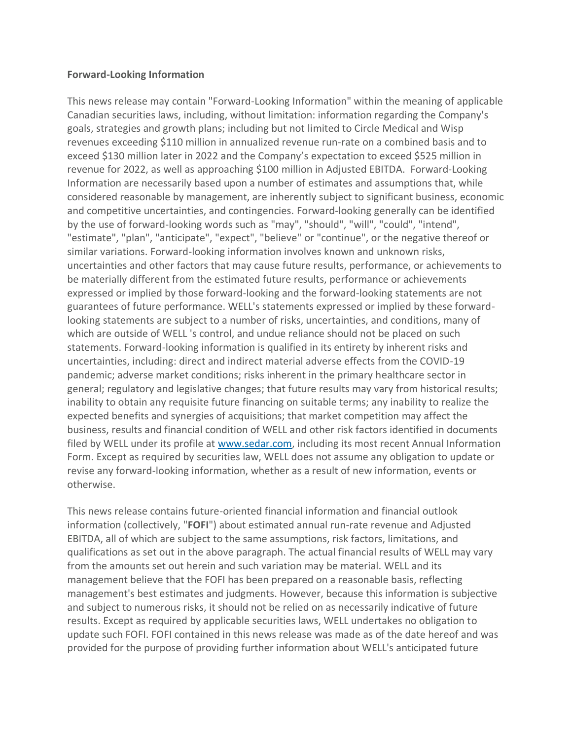#### **Forward-Looking Information**

This news release may contain "Forward-Looking Information" within the meaning of applicable Canadian securities laws, including, without limitation: information regarding the Company's goals, strategies and growth plans; including but not limited to Circle Medical and Wisp revenues exceeding \$110 million in annualized revenue run-rate on a combined basis and to exceed \$130 million later in 2022 and the Company's expectation to exceed \$525 million in revenue for 2022, as well as approaching \$100 million in Adjusted EBITDA. Forward-Looking Information are necessarily based upon a number of estimates and assumptions that, while considered reasonable by management, are inherently subject to significant business, economic and competitive uncertainties, and contingencies. Forward-looking generally can be identified by the use of forward-looking words such as "may", "should", "will", "could", "intend", "estimate", "plan", "anticipate", "expect", "believe" or "continue", or the negative thereof or similar variations. Forward-looking information involves known and unknown risks, uncertainties and other factors that may cause future results, performance, or achievements to be materially different from the estimated future results, performance or achievements expressed or implied by those forward-looking and the forward-looking statements are not guarantees of future performance. WELL's statements expressed or implied by these forwardlooking statements are subject to a number of risks, uncertainties, and conditions, many of which are outside of WELL 's control, and undue reliance should not be placed on such statements. Forward-looking information is qualified in its entirety by inherent risks and uncertainties, including: direct and indirect material adverse effects from the COVID-19 pandemic; adverse market conditions; risks inherent in the primary healthcare sector in general; regulatory and legislative changes; that future results may vary from historical results; inability to obtain any requisite future financing on suitable terms; any inability to realize the expected benefits and synergies of acquisitions; that market competition may affect the business, results and financial condition of WELL and other risk factors identified in documents filed by WELL under its profile at [www.sedar.com,](https://c212.net/c/link/?t=0&l=en&o=3418936-1&h=158119985&u=http%3A%2F%2Fwww.sedar.com%2F&a=www.sedar.com) including its most recent Annual Information Form. Except as required by securities law, WELL does not assume any obligation to update or revise any forward-looking information, whether as a result of new information, events or otherwise.

This news release contains future-oriented financial information and financial outlook information (collectively, "**FOFI**") about estimated annual run-rate revenue and Adjusted EBITDA, all of which are subject to the same assumptions, risk factors, limitations, and qualifications as set out in the above paragraph. The actual financial results of WELL may vary from the amounts set out herein and such variation may be material. WELL and its management believe that the FOFI has been prepared on a reasonable basis, reflecting management's best estimates and judgments. However, because this information is subjective and subject to numerous risks, it should not be relied on as necessarily indicative of future results. Except as required by applicable securities laws, WELL undertakes no obligation to update such FOFI. FOFI contained in this news release was made as of the date hereof and was provided for the purpose of providing further information about WELL's anticipated future